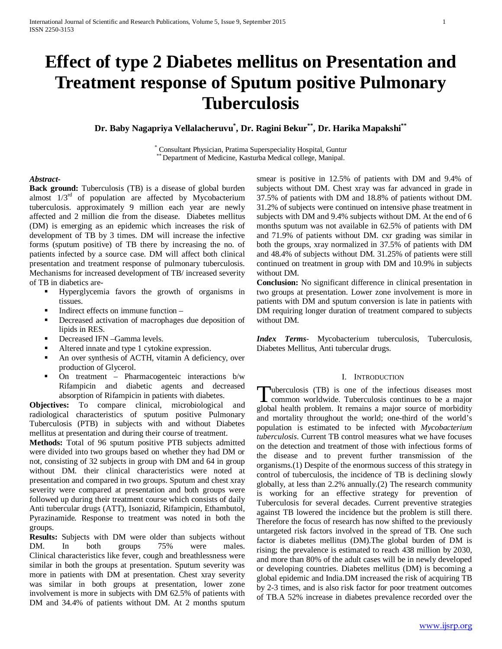# **Effect of type 2 Diabetes mellitus on Presentation and Treatment response of Sputum positive Pulmonary Tuberculosis**

**Dr. Baby Nagapriya Vellalacheruvu\* , Dr. Ragini Bekur\*\*, Dr. Harika Mapakshi\*\***

\* Consultant Physician, Pratima Superspeciality Hospital, Guntur \*\* Department of Medicine, Kasturba Medical college, Manipal.

## *Abstract***-**

Back ground: Tuberculosis (TB) is a disease of global burden almost  $1/3<sup>rd</sup>$  of population are affected by Mycobacterium tuberculosis. approximately 9 million each year are newly affected and 2 million die from the disease. Diabetes mellitus (DM) is emerging as an epidemic which increases the risk of development of TB by 3 times. DM will increase the infective forms (sputum positive) of TB there by increasing the no. of patients infected by a source case. DM will affect both clinical presentation and treatment response of pulmonary tuberculosis. Mechanisms for increased development of TB/ increased severity of TB in diabetics are-

- Hyperglycemia favors the growth of organisms in tissues.
- Indirect effects on immune function –
- Decreased activation of macrophages due deposition of lipids in RES.
- Decreased IFN –Gamma levels.
- Altered innate and type 1 cytokine expression.
- An over synthesis of ACTH, vitamin A deficiency, over production of Glycerol.
- On treatment Pharmacogenteic interactions b/w Rifampicin and diabetic agents and decreased absorption of Rifampicin in patients with diabetes.

**Objectives:** To compare clinical, microbiological and radiological characteristics of sputum positive Pulmonary Tuberculosis (PTB) in subjects with and without Diabetes mellitus at presentation and during their course of treatment.

**Methods:** Total of 96 sputum positive PTB subjects admitted were divided into two groups based on whether they had DM or not, consisting of 32 subjects in group with DM and 64 in group without DM. their clinical characteristics were noted at presentation and compared in two groups. Sputum and chest xray severity were compared at presentation and both groups were followed up during their treatment course which consists of daily Anti tubercular drugs (ATT), Isoniazid, Rifampicin, Ethambutol, Pyrazinamide. Response to treatment was noted in both the groups.

**Results:** Subjects with DM were older than subjects without DM. In both groups 75% were males. Clinical characteristics like fever, cough and breathlessness were similar in both the groups at presentation. Sputum severity was more in patients with DM at presentation. Chest xray severity was similar in both groups at presentation, lower zone involvement is more in subjects with DM 62.5% of patients with DM and 34.4% of patients without DM. At 2 months sputum smear is positive in 12.5% of patients with DM and 9.4% of subjects without DM. Chest xray was far advanced in grade in 37.5% of patients with DM and 18.8% of patients without DM. 31.2% of subjects were continued on intensive phase treatment in subjects with DM and 9.4% subjects without DM. At the end of 6 months sputum was not available in 62.5% of patients with DM and 71.9% of patients without DM. cxr grading was similar in both the groups, xray normalized in 37.5% of patients with DM and 48.4% of subjects without DM. 31.25% of patients were still continued on treatment in group with DM and 10.9% in subjects without DM.

**Conclusion:** No significant difference in clinical presentation in two groups at presentation. Lower zone involvement is more in patients with DM and sputum conversion is late in patients with DM requiring longer duration of treatment compared to subjects without DM.

*Index Terms*- Mycobacterium tuberculosis, Tuberculosis, Diabetes Mellitus, Anti tubercular drugs.

## I. INTRODUCTION

uberculosis (TB) is one of the infectious diseases most Tuberculosis (TB) is one of the infectious diseases most<br>
common worldwide. Tuberculosis continues to be a major global health problem. It remains a major source of morbidity and mortality throughout the world; one-third of the world's population is estimated to be infected with *Mycobacterium tuberculosis*. Current TB control measures what we have focuses on the detection and treatment of those with infectious forms of the disease and to prevent further transmission of the organisms.(1) Despite of the enormous success of this strategy in control of tuberculosis, the incidence of TB is declining slowly globally, at less than 2.2% annually.(2) The research community is working for an effective strategy for prevention of Tuberculosis for several decades. Current preventive strategies against TB lowered the incidence but the problem is still there. Therefore the focus of research has now shifted to the previously untargeted risk factors involved in the spread of TB. One such factor is diabetes mellitus (DM).The global burden of DM is rising; the prevalence is estimated to reach 438 million by 2030, and more than 80% of the adult cases will be in newly developed or developing countries. Diabetes mellitus (DM) is becoming a global epidemic and India.DM increased the risk of acquiring TB by 2-3 times, and is also risk factor for poor treatment outcomes of TB.A 52% increase in diabetes prevalence recorded over the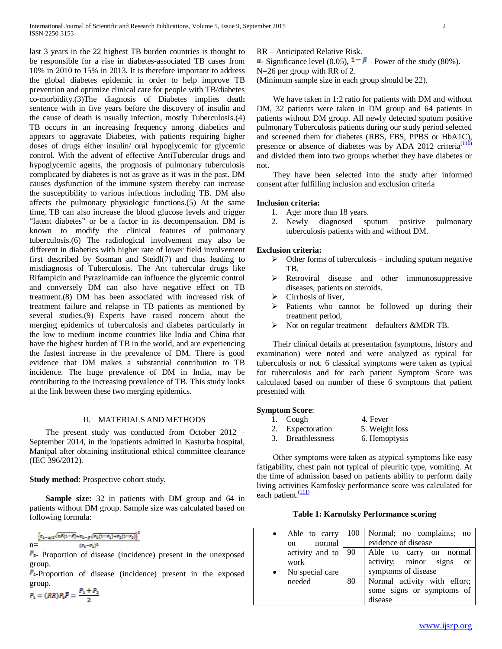last 3 years in the 22 highest TB burden countries is thought to be responsible for a rise in diabetes-associated TB cases from 10% in 2010 to 15% in 2013. It is therefore important to address the global diabetes epidemic in order to help improve TB prevention and optimize clinical care for people with TB/diabetes co-morbidity.(3)The diagnosis of Diabetes implies death sentence with in five years before the discovery of insulin and the cause of death is usually infection, mostly Tuberculosis.(4) TB occurs in an increasing frequency among diabetics and appears to aggravate Diabetes, with patients requiring higher doses of drugs either insulin/ oral hypoglycemic for glycemic control. With the advent of effective AntiTubercular drugs and hypoglycemic agents, the prognosis of pulmonary tuberculosis complicated by diabetes is not as grave as it was in the past. DM causes dysfunction of the immune system thereby can increase the susceptibility to various infections including TB. DM also affects the pulmonary physiologic functions.(5) At the same time, TB can also increase the blood glucose levels and trigger "latent diabetes" or be a factor in its decompensation. DM is known to modify the clinical features of pulmonary tuberculosis.(6) The radiological involvement may also be different in diabetics with higher rate of lower field involvement first described by Sosman and Steidl(7) and thus leading to misdiagnosis of Tuberculosis. The Ant tubercular drugs like Rifampicin and Pyrazinamide can influence the glycemic control and conversely DM can also have negative effect on TB treatment.(8) DM has been associated with increased risk of treatment failure and relapse in TB patients as mentioned by several studies.(9) Experts have raised concern about the merging epidemics of tuberculosis and diabetes particularly in the low to medium income countries like India and China that have the highest burden of TB in the world, and are experiencing the fastest increase in the prevalence of DM. There is good evidence that DM makes a substantial contribution to TB incidence. The huge prevalence of DM in India, may be contributing to the increasing prevalence of TB. This study looks at the link between these two merging epidemics.

# II. MATERIALS AND METHODS

 The present study was conducted from October 2012 – September 2014, in the inpatients admitted in Kasturba hospital, Manipal after obtaining institutional ethical committee clearance (IEC 396/2012).

# **Study method**: Prospective cohort study.

 **Sample size:** 32 in patients with DM group and 64 in patients without DM group. Sample size was calculated based on following formula:

$$
n\!=\!\!\frac{\left[x_{2\!-\!\alpha\beta3}\sqrt{2F(1\!-\!F)}\!+\!z_{2\!-\!\beta\gamma}\!\sqrt{z_{1}(1\!-\!F_{2})\!+\!z_{2}(1\!-\!F_{3})}\right]^2}{(z_{1}\!-\!z_{2})^2}
$$

 $\mathbb{P}_{\mathbb{Z}}$ - Proportion of disease (incidence) present in the unexposed group.

 $\mathbb{P}_{n}$ -Proportion of disease (incidence) present in the exposed group.

$$
P_2 = (RR)P_2\overline{P} = \frac{P_2 + P_2}{2}
$$

RR – Anticipated Relative Risk.

 $\blacksquare$ - Significance level (0.05),  $\blacksquare - \blacksquare -$  Power of the study (80%).

N=26 per group with RR of 2.

(Minimum sample size in each group should be 22).

 We have taken in 1:2 ratio for patients with DM and without DM, 32 patients were taken in DM group and 64 patients in patients without DM group. All newly detected sputum positive pulmonary Tuberculosis patients during our study period selected and screened them for diabetes (RBS, FBS, PPBS or HbA1C), presence or absence of diabetes was by ADA 2012 criteria $\frac{(110)}{2}$ and divided them into two groups whether they have diabetes or not.

 They have been selected into the study after informed consent after fulfilling inclusion and exclusion criteria

## **Inclusion criteria:**

- 1. Age: more than 18 years.
- 2. Newly diagnosed sputum positive pulmonary tuberculosis patients with and without DM.

## **Exclusion criteria:**

- $\triangleright$  Other forms of tuberculosis including sputum negative TB.
- Executive Retroviral disease and other immunosuppressive diseases, patients on steroids.
- $\triangleright$  Cirrhosis of liver,
- $\triangleright$  Patients who cannot be followed up during their treatment period,
- $\triangleright$  Not on regular treatment defaulters &MDR TB.

 Their clinical details at presentation (symptoms, history and examination) were noted and were analyzed as typical for tuberculosis or not. 6 classical symptoms were taken as typical for tuberculosis and for each patient Symptom Score was calculated based on number of these 6 symptoms that patient presented with

## **Symptom Score**:

- 1. Cough 4. Fever
- 2. Expectoration 5. Weight loss
- 3. Breathlessness 6. Hemoptysis

 Other symptoms were taken as atypical symptoms like easy fatigability, chest pain not typical of pleuritic type, vomiting. At the time of admission based on patients ability to perform daily living activities Karnfosky performance score was calculated for each patient.<sup>(111)</sup>

## **Table 1: Karnofsky Performance scoring**

| Able to carry   | 100 | Normal; no complaints; no              |
|-----------------|-----|----------------------------------------|
| normal<br>on    |     | evidence of disease                    |
| activity and to | -90 | Able to carry on normal                |
| work            |     | activity; minor signs<br><sub>or</sub> |
| No special care |     | symptoms of disease                    |
| needed          | 80  | Normal activity with effort;           |
|                 |     | some signs or symptoms of              |
|                 |     | disease                                |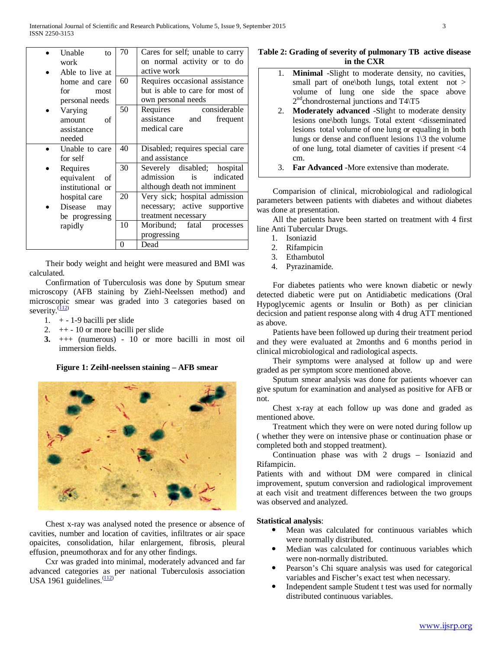| Unable<br>to       | 70 | Cares for self; unable to carry |
|--------------------|----|---------------------------------|
| work               |    | on normal activity or to do     |
| Able to live at    |    | active work                     |
| home and care      | 60 | Requires occasional assistance  |
| for<br>most        |    | but is able to care for most of |
| personal needs     |    | own personal needs              |
| Varying            | 50 | considerable<br>Requires        |
| amount<br>of       |    | assistance and<br>frequent      |
| assistance         |    | medical care                    |
| needed             |    |                                 |
| Unable to care     | 40 | Disabled; requires special care |
| for self           |    | and assistance                  |
| Requires           | 30 | Severely disabled; hospital     |
| equivalent<br>- of |    | admission is<br>indicated       |
| institutional or   |    | although death not imminent     |
| hospital care      | 20 | Very sick; hospital admission   |
| Disease<br>may     |    | necessary; active supportive    |
| be progressing     |    | treatment necessary             |
| rapidly            | 10 | fatal<br>Moribund;<br>processes |
|                    |    | progressing                     |
|                    | 0  | Dead                            |
|                    |    |                                 |

 Their body weight and height were measured and BMI was calculated.

 Confirmation of Tuberculosis was done by Sputum smear microscopy (AFB staining by Ziehl-Neelssen method) and microscopic smear was graded into 3 categories based on severity. $\frac{(112)}{2}$ 

- 1.  $+ 1 9$  bacilli per slide
- 2.  $++ 10$  or more bacilli per slide
- **3.** +++ (numerous) 10 or more bacilli in most oil immersion fields.

**Figure 1: Zeihl-neelssen staining – AFB smear**



 Chest x-ray was analysed noted the presence or absence of cavities, number and location of cavities, infiltrates or air space opaicites, consolidation, hilar enlargement, fibrosis, pleural effusion, pneumothorax and for any other findings.

 Cxr was graded into minimal, moderately advanced and far advanced categories as per national Tuberculosis association USA 1961 guidelines. $\frac{(112)}{2}$ 

# **Table 2: Grading of severity of pulmonary TB active disease in the CXR**

- 1. **Minimal** -Slight to moderate density, no cavities, small part of one\both lungs, total extent not > volume of lung one side the space above  $2<sup>nd</sup>$ chondrosternal junctions and T4 $\langle$ T5
- 2. **Moderately advanced** -Slight to moderate density lesions one\both lungs. Total extent <disseminated lesions total volume of one lung or equaling in both lungs or dense and confluent lesions 1\3 the volume of one lung, total diameter of cavities if present <4 cm.
- 3. **Far Advanced** -More extensive than moderate.

 Comparision of clinical, microbiological and radiological parameters between patients with diabetes and without diabetes was done at presentation.

 All the patients have been started on treatment with 4 first line Anti Tubercular Drugs.

- 1. Isoniazid
- 2. Rifampicin
- 3. Ethambutol
- 4. Pyrazinamide.

 For diabetes patients who were known diabetic or newly detected diabetic were put on Antidiabetic medications (Oral Hypoglycemic agents or Insulin or Both) as per clinician decicsion and patient response along with 4 drug ATT mentioned as above.

 Patients have been followed up during their treatment period and they were evaluated at 2months and 6 months period in clinical microbiological and radiological aspects.

 Their symptoms were analysed at follow up and were graded as per symptom score mentioned above.

 Sputum smear analysis was done for patients whoever can give sputum for examination and analysed as positive for AFB or not.

 Chest x-ray at each follow up was done and graded as mentioned above.

 Treatment which they were on were noted during follow up ( whether they were on intensive phase or continuation phase or completed both and stopped treatment).

 Continuation phase was with 2 drugs – Isoniazid and Rifampicin.

Patients with and without DM were compared in clinical improvement, sputum conversion and radiological improvement at each visit and treatment differences between the two groups was observed and analyzed.

# **Statistical analysis**:

- Mean was calculated for continuous variables which were normally distributed.
- Median was calculated for continuous variables which were non-normally distributed.
- Pearson's Chi square analysis was used for categorical variables and Fischer's exact test when necessary.
- Independent sample Student t test was used for normally distributed continuous variables.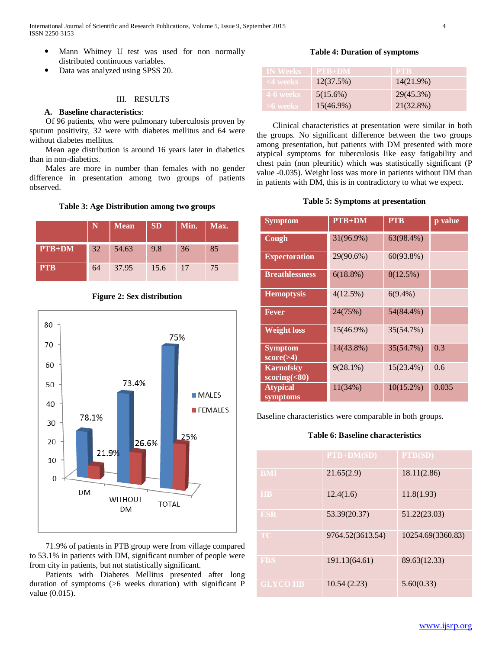- Mann Whitney U test was used for non normally distributed continuous variables.
- Data was analyzed using SPSS 20.

## III. RESULTS

# **A. Baseline characteristics**:

 Of 96 patients, who were pulmonary tuberculosis proven by sputum positivity, 32 were with diabetes mellitus and 64 were without diabetes mellitus.

 Mean age distribution is around 16 years later in diabetics than in non-diabetics.

 Males are more in number than females with no gender difference in presentation among two groups of patients observed.

## **Table 3: Age Distribution among two groups**

|            |    | <b>Mean</b> | <b>SD</b> | Min. | Max. |
|------------|----|-------------|-----------|------|------|
| $PTB+DM$   | 32 | 54.63       | 9.8       | 36   | 85   |
| <b>PTB</b> | 64 | 37.95       | 15.6      | 17   | 75   |



## **Figure 2: Sex distribution**

 71.9% of patients in PTB group were from village compared to 53.1% in patients with DM, significant number of people were from city in patients, but not statistically significant.

 Patients with Diabetes Mellitus presented after long duration of symptoms (>6 weeks duration) with significant P value (0.015).

# **Table 4: Duration of symptoms**

| <b>IN Weeks</b> | $PTB+DM$     | <b>PTB</b> |
|-----------------|--------------|------------|
| <4 weeks        | 12(37.5%)    | 14(21.9%)  |
| 4-6 weeks       | $5(15.6\%)$  | 29(45.3%)  |
| $>6$ weeks      | $15(46.9\%)$ | 21(32.8%)  |

 Clinical characteristics at presentation were similar in both the groups. No significant difference between the two groups among presentation, but patients with DM presented with more atypical symptoms for tuberculosis like easy fatigability and chest pain (non pleuritic) which was statistically significant (P value -0.035). Weight loss was more in patients without DM than in patients with DM, this is in contradictory to what we expect.

## **Table 5: Symptoms at presentation**

| <b>Symptom</b>                     | $PTB+DM$    | <b>PTB</b>   | p value |
|------------------------------------|-------------|--------------|---------|
| Cough                              | 31(96.9%)   | 63(98.4%)    |         |
| <b>Expectoration</b>               | 29(90.6%)   | $60(93.8\%)$ |         |
| <b>Breathlessness</b>              | $6(18.8\%)$ | 8(12.5%)     |         |
| <b>Hemoptysis</b>                  | 4(12.5%)    | $6(9.4\%)$   |         |
| <b>Fever</b>                       | 24(75%)     | 54(84.4%)    |         |
| <b>Weight loss</b>                 | 15(46.9%)   | 35(54.7%)    |         |
| <b>Symptom</b><br>$score(>=4)$     | 14(43.8%)   | 35(54.7%)    | 0.3     |
| <b>Karnofsky</b><br>scoring $(80)$ | $9(28.1\%)$ | $15(23.4\%)$ | 0.6     |
| <b>Atypical</b><br>symptoms        | 11(34%)     | $10(15.2\%)$ | 0.035   |

Baseline characteristics were comparable in both groups.

## **Table 6: Baseline characteristics**

|                 | <b>PTB+DM(SD)</b> | PTB(SD)           |
|-----------------|-------------------|-------------------|
| <b>BMI</b>      | 21.65(2.9)        | 18.11(2.86)       |
| <b>HB</b>       | 12.4(1.6)         | 11.8(1.93)        |
| <b>ESR</b>      | 53.39(20.37)      | 51.22(23.03)      |
| <b>TC</b>       | 9764.52(3613.54)  | 10254.69(3360.83) |
| <b>FBS</b>      | 191.13(64.61)     | 89.63(12.33)      |
| <b>GLYCO HB</b> | 10.54(2.23)       | 5.60(0.33)        |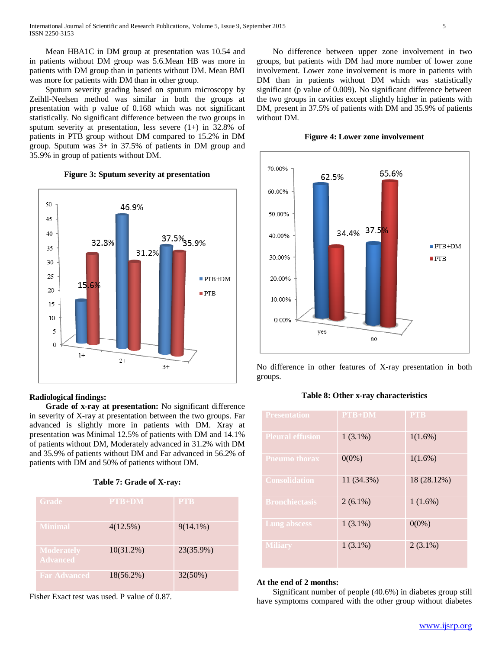Mean HBA1C in DM group at presentation was 10.54 and in patients without DM group was 5.6.Mean HB was more in patients with DM group than in patients without DM. Mean BMI was more for patients with DM than in other group.

 Sputum severity grading based on sputum microscopy by Zeihll-Neelsen method was similar in both the groups at presentation with p value of 0.168 which was not significant statistically. No significant difference between the two groups in sputum severity at presentation, less severe  $(1+)$  in 32.8% of patients in PTB group without DM compared to 15.2% in DM group. Sputum was 3+ in 37.5% of patients in DM group and 35.9% in group of patients without DM.



# **Figure 3: Sputum severity at presentation**

## **Radiological findings:**

 **Grade of x-ray at presentation:** No significant difference in severity of X-ray at presentation between the two groups. Far advanced is slightly more in patients with DM. Xray at presentation was Minimal 12.5% of patients with DM and 14.1% of patients without DM, Moderately advanced in 31.2% with DM and 35.9% of patients without DM and Far advanced in 56.2% of patients with DM and 50% of patients without DM.

| <b>Grade</b>                         | <b>PTB+DM</b> | <b>PTB</b>  |
|--------------------------------------|---------------|-------------|
| <b>Minimal</b>                       | 4(12.5%)      | $9(14.1\%)$ |
| <b>Moderately</b><br><b>Advanced</b> | $10(31.2\%)$  | 23(35.9%)   |
| <b>Far Advanced</b>                  | $18(56.2\%)$  | 32(50%)     |

Fisher Exact test was used. P value of 0.87.

 No difference between upper zone involvement in two groups, but patients with DM had more number of lower zone involvement. Lower zone involvement is more in patients with DM than in patients without DM which was statistically significant (p value of 0.009). No significant difference between the two groups in cavities except slightly higher in patients with DM, present in 37.5% of patients with DM and 35.9% of patients without DM.





No difference in other features of X-ray presentation in both groups.

## **Table 8: Other x-ray characteristics**

| <b>Presentation</b>     | $PTB+DM$   | <b>PTB</b>  |
|-------------------------|------------|-------------|
| <b>Pleural effusion</b> | $1(3.1\%)$ | $1(1.6\%)$  |
| <b>Pneumo thorax</b>    | $0(0\%)$   | $1(1.6\%)$  |
| <b>Consolidation</b>    | 11 (34.3%) | 18 (28.12%) |
| <b>Bronchiectasis</b>   | $2(6.1\%)$ | $1(1.6\%)$  |
| <b>Lung abscess</b>     | $1(3.1\%)$ | $0(0\%)$    |
| <b>Miliary</b>          | $1(3.1\%)$ | $2(3.1\%)$  |

#### **At the end of 2 months:**

 Significant number of people (40.6%) in diabetes group still have symptoms compared with the other group without diabetes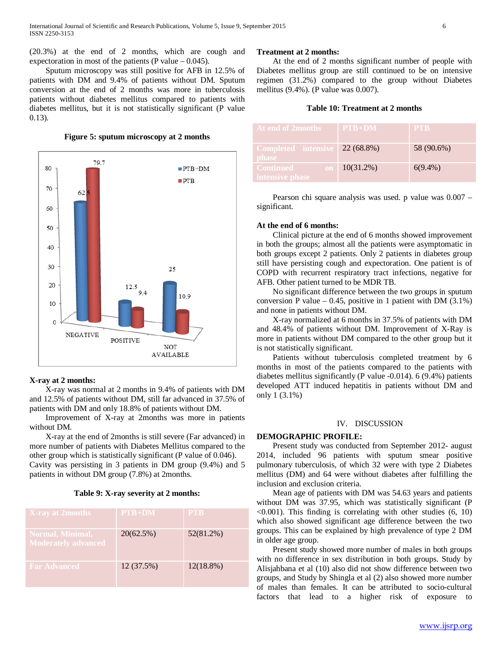(20.3%) at the end of 2 months, which are cough and expectoration in most of the patients (P value  $-$  0.045).

 Sputum microscopy was still positive for AFB in 12.5% of patients with DM and 9.4% of patients without DM. Sputum conversion at the end of 2 months was more in tuberculosis patients without diabetes mellitus compared to patients with diabetes mellitus, but it is not statistically significant (P value 0.13).

**Figure 5: sputum microscopy at 2 months**



#### **X-ray at 2 months:**

 X-ray was normal at 2 months in 9.4% of patients with DM and 12.5% of patients without DM, still far advanced in 37.5% of patients with DM and only 18.8% of patients without DM.

 Improvement of X-ray at 2months was more in patients without DM.

 X-ray at the end of 2months is still severe (Far advanced) in more number of patients with Diabetes Mellitus compared to the other group which is statistically significant (P value of 0.046).

Cavity was persisting in 3 patients in DM group (9.4%) and 5 patients in without DM group (7.8%) at 2months.

|  |  |  |  | Table 9: X-ray severity at 2 months: |
|--|--|--|--|--------------------------------------|
|--|--|--|--|--------------------------------------|

| <b>X-ray at 2months</b>                        | $PTB+DM$   | <b>PTB</b>   |
|------------------------------------------------|------------|--------------|
| Normal, Minimal,<br><b>Moderately advanced</b> | 20(62.5%)  | 52(81.2%)    |
| <b>Far Advanced</b>                            | 12 (37.5%) | $12(18.8\%)$ |

### **Treatment at 2 months:**

 At the end of 2 months significant number of people with Diabetes mellitus group are still continued to be on intensive regimen (31.2%) compared to the group without Diabetes mellitus (9.4%). (P value was 0.007).

# **Table 10: Treatment at 2 months**

| At end of 2months                   | $PTB+DM$     | <b>PTB</b> |
|-------------------------------------|--------------|------------|
| Completed intensive<br><b>phase</b> | 22 (68.8%)   | 58 (90.6%) |
| Continued<br>on.<br>intensive phase | $10(31.2\%)$ | $6(9.4\%)$ |

 Pearson chi square analysis was used. p value was 0.007 – significant.

## **At the end of 6 months:**

 Clinical picture at the end of 6 months showed improvement in both the groups; almost all the patients were asymptomatic in both groups except 2 patients. Only 2 patients in diabetes group still have persisting cough and expectoration. One patient is of COPD with recurrent respiratory tract infections, negative for AFB. Other patient turned to be MDR TB.

 No significant difference between the two groups in sputum conversion P value – 0.45, positive in 1 patient with DM  $(3.1\%)$ and none in patients without DM.

 X-ray normalized at 6 months in 37.5% of patients with DM and 48.4% of patients without DM. Improvement of X-Ray is more in patients without DM compared to the other group but it is not statistically significant.

 Patients without tuberculosis completed treatment by 6 months in most of the patients compared to the patients with diabetes mellitus significantly (P value -0.014). 6 (9.4%) patients developed ATT induced hepatitis in patients without DM and only 1 (3.1%)

## IV. DISCUSSION

## **DEMOGRAPHIC PROFILE:**

 Present study was conducted from September 2012- august 2014, included 96 patients with sputum smear positive pulmonary tuberculosis, of which 32 were with type 2 Diabetes mellitus (DM) and 64 were without diabetes after fulfilling the inclusion and exclusion criteria.

 Mean age of patients with DM was 54.63 years and patients without DM was 37.95, which was statistically significant (P  $\leq$ 0.001). This finding is correlating with other studies (6, 10) which also showed significant age difference between the two groups. This can be explained by high prevalence of type 2 DM in older age group.

 Present study showed more number of males in both groups with no difference in sex distribution in both groups. Study by Alisjahbana et al (10) also did not show difference between two groups, and Study by Shingla et al (2) also showed more number of males than females. It can be attributed to socio-cultural factors that lead to a higher risk of exposure to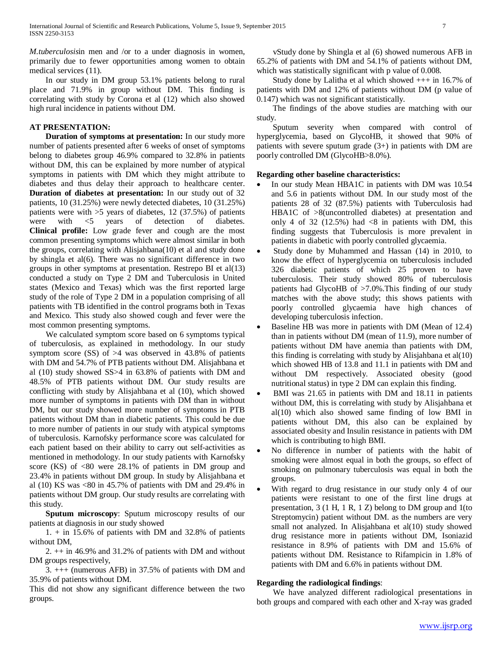*M.tuberculosis*in men and /or to a under diagnosis in women, primarily due to fewer opportunities among women to obtain medical services (11).

 In our study in DM group 53.1% patients belong to rural place and 71.9% in group without DM. This finding is correlating with study by Corona et al (12) which also showed high rural incidence in patients without DM.

# **AT PRESENTATION:**

 **Duration of symptoms at presentation:** In our study more number of patients presented after 6 weeks of onset of symptoms belong to diabetes group 46.9% compared to 32.8% in patients without DM, this can be explained by more number of atypical symptoms in patients with DM which they might attribute to diabetes and thus delay their approach to healthcare center. **Duration of diabetes at presentation:** In our study out of 32 patients, 10 (31.25%) were newly detected diabetes, 10 (31.25%) patients were with  $>5$  years of diabetes, 12 (37.5%) of patients were with <5 years of detection of diabetes. **Clinical profile:** Low grade fever and cough are the most common presenting symptoms which were almost similar in both the groups, correlating with Alisjahbana(10) et al and study done by shingla et al(6). There was no significant difference in two groups in other symptoms at presentation. Restrepo BI et al(13) conducted a study on Type 2 DM and Tuberculosis in United states (Mexico and Texas) which was the first reported large study of the role of Type 2 DM in a population comprising of all patients with TB identified in the control programs both in Texas and Mexico. This study also showed cough and fever were the most common presenting symptoms.

 We calculated symptom score based on 6 symptoms typical of tuberculosis, as explained in methodology. In our study symptom score  $(SS)$  of  $>4$  was observed in 43.8% of patients with DM and 54.7% of PTB patients without DM. Alisjahbana et al (10) study showed SS>4 in 63.8% of patients with DM and 48.5% of PTB patients without DM. Our study results are conflicting with study by Alisjahbana et al (10), which showed more number of symptoms in patients with DM than in without DM, but our study showed more number of symptoms in PTB patients without DM than in diabetic patients. This could be due to more number of patients in our study with atypical symptoms of tuberculosis. Karnofsky performance score was calculated for each patient based on their ability to carry out self-activities as mentioned in methodology. In our study patients with Karnofsky score (KS) of <80 were 28.1% of patients in DM group and 23.4% in patients without DM group. In study by Alisjahbana et al (10) KS was <80 in 45.7% of patients with DM and 29.4% in patients without DM group. Our study results are correlating with this study.

 **Sputum microscopy**: Sputum microscopy results of our patients at diagnosis in our study showed

 $1. + in 15.6\%$  of patients with DM and 32.8% of patients without DM,

 2. ++ in 46.9% and 31.2% of patients with DM and without DM groups respectively,

 3. +++ (numerous AFB) in 37.5% of patients with DM and 35.9% of patients without DM.

This did not show any significant difference between the two groups.

 vStudy done by Shingla et al (6) showed numerous AFB in 65.2% of patients with DM and 54.1% of patients without DM, which was statistically significant with p value of 0.008.

 Study done by Lalitha et al which showed +++ in 16.7% of patients with DM and 12% of patients without DM (p value of 0.147) which was not significant statistically.

 The findings of the above studies are matching with our study.

 Sputum severity when compared with control of hyperglycemia, based on GlycoHB, it showed that 90% of patients with severe sputum grade (3+) in patients with DM are poorly controlled DM (GlycoHB>8.0%).

# **Regarding other baseline characteristics:**

- In our study Mean HBA1C in patients with DM was 10.54 and 5.6 in patients without DM. In our study most of the patients 28 of 32 (87.5%) patients with Tuberculosis had HBA1C of >8(uncontrolled diabetes) at presentation and only 4 of 32 (12.5%) had  $\langle 8 \rangle$  in patients with DM, this finding suggests that Tuberculosis is more prevalent in patients in diabetic with poorly controlled glycaemia.
- Study done by Muhammed and Hassan (14) in 2010, to know the effect of hyperglycemia on tuberculosis included 326 diabetic patients of which 25 proven to have tuberculosis. Their study showed 80% of tuberculosis patients had GlycoHB of >7.0%.This finding of our study matches with the above study; this shows patients with poorly controlled glycaemia have high chances of developing tuberculosis infection.
- Baseline HB was more in patients with DM (Mean of 12.4) than in patients without DM (mean of 11.9), more number of patients without DM have anemia than patients with DM, this finding is correlating with study by Alisjahbana et al(10) which showed HB of 13.8 and 11.1 in patients with DM and without DM respectively. Associated obesity (good nutritional status) in type 2 DM can explain this finding.
- BMI was 21.65 in patients with DM and 18.11 in patients without DM, this is correlating with study by Alisjahbana et al(10) which also showed same finding of low BMI in patients without DM, this also can be explained by associated obesity and Insulin resistance in patients with DM which is contributing to high BMI.
- No difference in number of patients with the habit of smoking were almost equal in both the groups, so effect of smoking on pulmonary tuberculosis was equal in both the groups.
- With regard to drug resistance in our study only 4 of our patients were resistant to one of the first line drugs at presentation, 3 (1 H, 1 R, 1 Z) belong to DM group and 1(to Streptomycin) patient without DM. as the numbers are very small not analyzed. In Alisjahbana et al(10) study showed drug resistance more in patients without DM, Isoniazid resistance in 8.9% of patients with DM and 15.6% of patients without DM. Resistance to Rifampicin in 1.8% of patients with DM and 6.6% in patients without DM.

# **Regarding the radiological findings**:

 We have analyzed different radiological presentations in both groups and compared with each other and X-ray was graded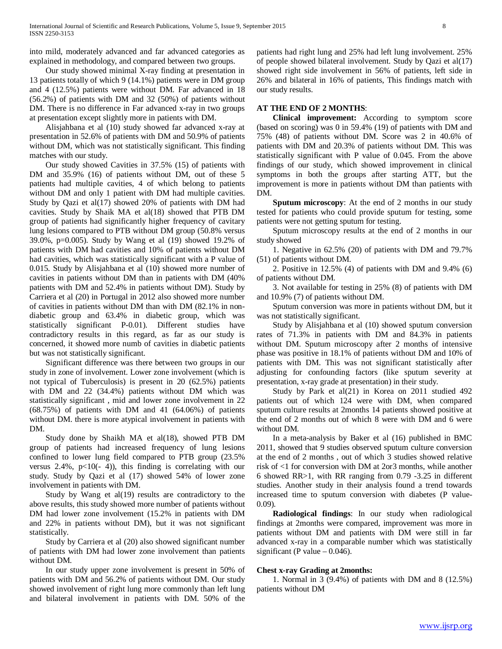into mild, moderately advanced and far advanced categories as explained in methodology, and compared between two groups.

 Our study showed minimal X-ray finding at presentation in 13 patients totally of which 9 (14.1%) patients were in DM group and 4 (12.5%) patients were without DM. Far advanced in 18 (56.2%) of patients with DM and 32 (50%) of patients without DM. There is no difference in Far advanced x-ray in two groups at presentation except slightly more in patients with DM.

 Alisjahbana et al (10) study showed far advanced x-ray at presentation in 52.6% of patients with DM and 50.9% of patients without DM, which was not statistically significant. This finding matches with our study.

 Our study showed Cavities in 37.5% (15) of patients with DM and 35.9% (16) of patients without DM, out of these 5 patients had multiple cavities, 4 of which belong to patients without DM and only 1 patient with DM had multiple cavities. Study by Qazi et al(17) showed 20% of patients with DM had cavities. Study by Shaik MA et al(18) showed that PTB DM group of patients had significantly higher frequency of cavitary lung lesions compared to PTB without DM group (50.8% versus 39.0%, p=0.005). Study by Wang et al (19) showed 19.2% of patients with DM had cavities and 10% of patients without DM had cavities, which was statistically significant with a P value of 0.015. Study by Alisjahbana et al (10) showed more number of cavities in patients without DM than in patients with DM (40% patients with DM and 52.4% in patients without DM). Study by Carriera et al (20) in Portugal in 2012 also showed more number of cavities in patients without DM than with DM (82.1% in nondiabetic group and 63.4% in diabetic group, which was statistically significant P-0.01). Different studies have contradictory results in this regard, as far as our study is concerned, it showed more numb of cavities in diabetic patients but was not statistically significant.

 Significant difference was there between two groups in our study in zone of involvement. Lower zone involvement (which is not typical of Tuberculosis) is present in 20 (62.5%) patients with DM and 22 (34.4%) patients without DM which was statistically significant , mid and lower zone involvement in 22  $(68.75%)$  of patients with DM and 41  $(64.06%)$  of patients without DM. there is more atypical involvement in patients with DM.

 Study done by Shaikh MA et al(18), showed PTB DM group of patients had increased frequency of lung lesions confined to lower lung field compared to PTB group (23.5% versus  $2.4\%$ ,  $p<10$ (- 4)), this finding is correlating with our study. Study by Qazi et al (17) showed 54% of lower zone involvement in patients with DM.

 Study by Wang et al(19) results are contradictory to the above results, this study showed more number of patients without DM had lower zone involvement (15.2% in patients with DM and 22% in patients without DM), but it was not significant statistically.

 Study by Carriera et al (20) also showed significant number of patients with DM had lower zone involvement than patients without DM.

 In our study upper zone involvement is present in 50% of patients with DM and 56.2% of patients without DM. Our study showed involvement of right lung more commonly than left lung and bilateral involvement in patients with DM. 50% of the patients had right lung and 25% had left lung involvement. 25% of people showed bilateral involvement. Study by Qazi et al(17) showed right side involvement in 56% of patients, left side in 26% and bilateral in 16% of patients, This findings match with our study results.

# **AT THE END OF 2 MONTHS**:

 **Clinical improvement:** According to symptom score (based on scoring) was 0 in 59.4% (19) of patients with DM and 75% (48) of patients without DM. Score was 2 in 40.6% of patients with DM and 20.3% of patients without DM. This was statistically significant with P value of 0.045. From the above findings of our study, which showed improvement in clinical symptoms in both the groups after starting ATT, but the improvement is more in patients without DM than patients with DM.

 **Sputum microscopy**: At the end of 2 months in our study tested for patients who could provide sputum for testing, some patients were not getting sputum for testing.

 Sputum microscopy results at the end of 2 months in our study showed

 1. Negative in 62.5% (20) of patients with DM and 79.7% (51) of patients without DM.

 2. Positive in 12.5% (4) of patients with DM and 9.4% (6) of patients without DM.

 3. Not available for testing in 25% (8) of patients with DM and 10.9% (7) of patients without DM.

 Sputum conversion was more in patients without DM, but it was not statistically significant.

 Study by Alisjahbana et al (10) showed sputum conversion rates of 71.3% in patients with DM and 84.3% in patients without DM. Sputum microscopy after 2 months of intensive phase was positive in 18.1% of patients without DM and 10% of patients with DM. This was not significant statistically after adjusting for confounding factors (like sputum severity at presentation, x-ray grade at presentation) in their study.

 Study by Park et al(21) in Korea on 2011 studied 492 patients out of which 124 were with DM, when compared sputum culture results at 2months 14 patients showed positive at the end of 2 months out of which 8 were with DM and 6 were without DM.

 In a meta-analysis by Baker et al (16) published in BMC 2011, showed that 9 studies observed sputum culture conversion at the end of 2 months , out of which 3 studies showed relative risk of <1 for conversion with DM at 2or3 months, while another 6 showed RR>1, with RR ranging from 0.79 -3.25 in different studies. Another study in their analysis found a trend towards increased time to sputum conversion with diabetes (P value-0.09).

 **Radiological findings**: In our study when radiological findings at 2months were compared, improvement was more in patients without DM and patients with DM were still in far advanced x-ray in a comparable number which was statistically significant (P value  $- 0.046$ ).

# **Chest x-ray Grading at 2months:**

 1. Normal in 3 (9.4%) of patients with DM and 8 (12.5%) patients without DM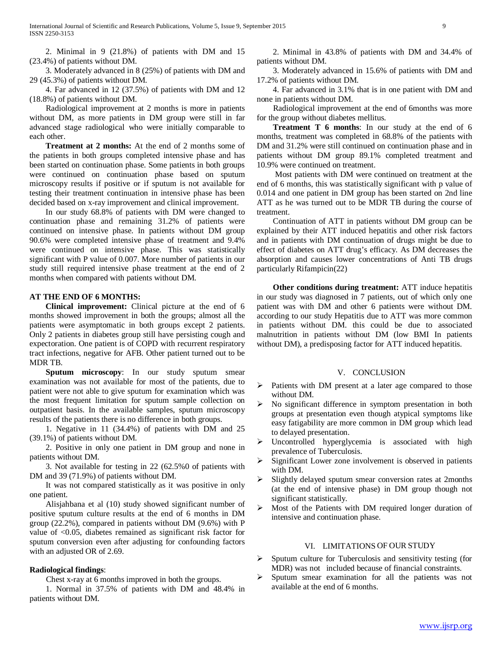2. Minimal in 9 (21.8%) of patients with DM and 15 (23.4%) of patients without DM.

 3. Moderately advanced in 8 (25%) of patients with DM and 29 (45.3%) of patients without DM.

 4. Far advanced in 12 (37.5%) of patients with DM and 12 (18.8%) of patients without DM.

 Radiological improvement at 2 months is more in patients without DM, as more patients in DM group were still in far advanced stage radiological who were initially comparable to each other.

 **Treatment at 2 months:** At the end of 2 months some of the patients in both groups completed intensive phase and has been started on continuation phase. Some patients in both groups were continued on continuation phase based on sputum microscopy results if positive or if sputum is not available for testing their treatment continuation in intensive phase has been decided based on x-ray improvement and clinical improvement.

 In our study 68.8% of patients with DM were changed to continuation phase and remaining 31.2% of patients were continued on intensive phase. In patients without DM group 90.6% were completed intensive phase of treatment and 9.4% were continued on intensive phase. This was statistically significant with P value of 0.007. More number of patients in our study still required intensive phase treatment at the end of 2 months when compared with patients without DM.

# **AT THE END OF 6 MONTHS:**

 **Clinical improvement:** Clinical picture at the end of 6 months showed improvement in both the groups; almost all the patients were asymptomatic in both groups except 2 patients. Only 2 patients in diabetes group still have persisting cough and expectoration. One patient is of COPD with recurrent respiratory tract infections, negative for AFB. Other patient turned out to be MDR TB.

 **Sputum microscopy**: In our study sputum smear examination was not available for most of the patients, due to patient were not able to give sputum for examination which was the most frequent limitation for sputum sample collection on outpatient basis. In the available samples, sputum microscopy results of the patients there is no difference in both groups.

 1. Negative in 11 (34.4%) of patients with DM and 25 (39.1%) of patients without DM.

 2. Positive in only one patient in DM group and none in patients without DM.

 3. Not available for testing in 22 (62.5%0 of patients with DM and 39 (71.9%) of patients without DM.

 It was not compared statistically as it was positive in only one patient.

 Alisjahbana et al (10) study showed significant number of positive sputum culture results at the end of 6 months in DM group (22.2%), compared in patients without DM (9.6%) with P value of <0.05, diabetes remained as significant risk factor for sputum conversion even after adjusting for confounding factors with an adjusted OR of 2.69.

# **Radiological findings**:

Chest x-ray at 6 months improved in both the groups.

 1. Normal in 37.5% of patients with DM and 48.4% in patients without DM.

 2. Minimal in 43.8% of patients with DM and 34.4% of patients without DM.

 3. Moderately advanced in 15.6% of patients with DM and 17.2% of patients without DM.

 4. Far advanced in 3.1% that is in one patient with DM and none in patients without DM.

 Radiological improvement at the end of 6months was more for the group without diabetes mellitus.

 **Treatment T 6 months**: In our study at the end of 6 months, treatment was completed in 68.8% of the patients with DM and 31.2% were still continued on continuation phase and in patients without DM group 89.1% completed treatment and 10.9% were continued on treatment.

 Most patients with DM were continued on treatment at the end of 6 months, this was statistically significant with p value of 0.014 and one patient in DM group has been started on 2nd line ATT as he was turned out to be MDR TB during the course of treatment.

 Continuation of ATT in patients without DM group can be explained by their ATT induced hepatitis and other risk factors and in patients with DM continuation of drugs might be due to effect of diabetes on ATT drug's efficacy. As DM decreases the absorption and causes lower concentrations of Anti TB drugs particularly Rifampicin(22)

 **Other conditions during treatment:** ATT induce hepatitis in our study was diagnosed in 7 patients, out of which only one patient was with DM and other 6 patients were without DM. according to our study Hepatitis due to ATT was more common in patients without DM. this could be due to associated malnutrition in patients without DM (low BMI In patients without DM), a predisposing factor for ATT induced hepatitis.

## V. CONCLUSION

- Patients with DM present at a later age compared to those without DM.
- $\triangleright$  No significant difference in symptom presentation in both groups at presentation even though atypical symptoms like easy fatigability are more common in DM group which lead to delayed presentation.
- $\triangleright$  Uncontrolled hyperglycemia is associated with high prevalence of Tuberculosis.
- Significant Lower zone involvement is observed in patients with DM.
- Slightly delayed sputum smear conversion rates at 2months (at the end of intensive phase) in DM group though not significant statistically.
- $\triangleright$  Most of the Patients with DM required longer duration of intensive and continuation phase.

# VI. LIMITATIONS OF OUR STUDY

- $\triangleright$  Sputum culture for Tuberculosis and sensitivity testing (for MDR) was not included because of financial constraints.
- $\triangleright$  Sputum smear examination for all the patients was not available at the end of 6 months.